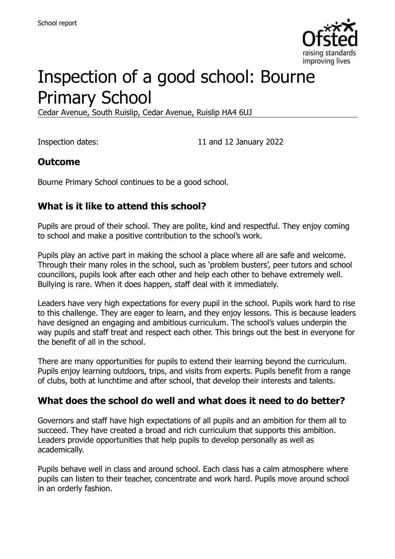

# Inspection of a good school: Bourne Primary School

Cedar Avenue, South Ruislip, Cedar Avenue, Ruislip HA4 6UJ

Inspection dates: 11 and 12 January 2022

#### **Outcome**

Bourne Primary School continues to be a good school.

#### **What is it like to attend this school?**

Pupils are proud of their school. They are polite, kind and respectful. They enjoy coming to school and make a positive contribution to the school's work.

Pupils play an active part in making the school a place where all are safe and welcome. Through their many roles in the school, such as 'problem busters', peer tutors and school councillors, pupils look after each other and help each other to behave extremely well. Bullying is rare. When it does happen, staff deal with it immediately.

Leaders have very high expectations for every pupil in the school. Pupils work hard to rise to this challenge. They are eager to learn, and they enjoy lessons. This is because leaders have designed an engaging and ambitious curriculum. The school's values underpin the way pupils and staff treat and respect each other. This brings out the best in everyone for the benefit of all in the school.

There are many opportunities for pupils to extend their learning beyond the curriculum. Pupils enjoy learning outdoors, trips, and visits from experts. Pupils benefit from a range of clubs, both at lunchtime and after school, that develop their interests and talents.

#### **What does the school do well and what does it need to do better?**

Governors and staff have high expectations of all pupils and an ambition for them all to succeed. They have created a broad and rich curriculum that supports this ambition. Leaders provide opportunities that help pupils to develop personally as well as academically.

Pupils behave well in class and around school. Each class has a calm atmosphere where pupils can listen to their teacher, concentrate and work hard. Pupils move around school in an orderly fashion.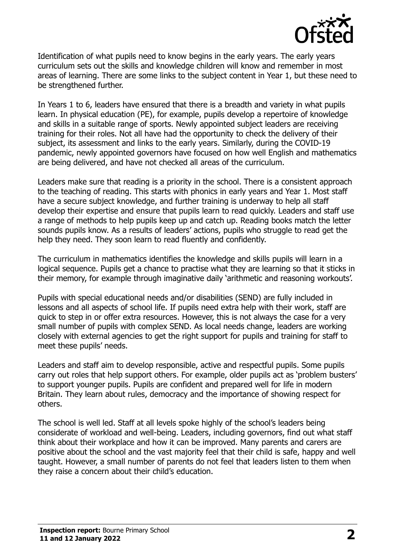

Identification of what pupils need to know begins in the early years. The early years curriculum sets out the skills and knowledge children will know and remember in most areas of learning. There are some links to the subject content in Year 1, but these need to be strengthened further.

In Years 1 to 6, leaders have ensured that there is a breadth and variety in what pupils learn. In physical education (PE), for example, pupils develop a repertoire of knowledge and skills in a suitable range of sports. Newly appointed subject leaders are receiving training for their roles. Not all have had the opportunity to check the delivery of their subject, its assessment and links to the early years. Similarly, during the COVID-19 pandemic, newly appointed governors have focused on how well English and mathematics are being delivered, and have not checked all areas of the curriculum.

Leaders make sure that reading is a priority in the school. There is a consistent approach to the teaching of reading. This starts with phonics in early years and Year 1. Most staff have a secure subject knowledge, and further training is underway to help all staff develop their expertise and ensure that pupils learn to read quickly. Leaders and staff use a range of methods to help pupils keep up and catch up. Reading books match the letter sounds pupils know. As a results of leaders' actions, pupils who struggle to read get the help they need. They soon learn to read fluently and confidently.

The curriculum in mathematics identifies the knowledge and skills pupils will learn in a logical sequence. Pupils get a chance to practise what they are learning so that it sticks in their memory, for example through imaginative daily 'arithmetic and reasoning workouts'.

Pupils with special educational needs and/or disabilities (SEND) are fully included in lessons and all aspects of school life. If pupils need extra help with their work, staff are quick to step in or offer extra resources. However, this is not always the case for a very small number of pupils with complex SEND. As local needs change, leaders are working closely with external agencies to get the right support for pupils and training for staff to meet these pupils' needs.

Leaders and staff aim to develop responsible, active and respectful pupils. Some pupils carry out roles that help support others. For example, older pupils act as 'problem busters' to support younger pupils. Pupils are confident and prepared well for life in modern Britain. They learn about rules, democracy and the importance of showing respect for others.

The school is well led. Staff at all levels spoke highly of the school's leaders being considerate of workload and well-being. Leaders, including governors, find out what staff think about their workplace and how it can be improved. Many parents and carers are positive about the school and the vast majority feel that their child is safe, happy and well taught. However, a small number of parents do not feel that leaders listen to them when they raise a concern about their child's education.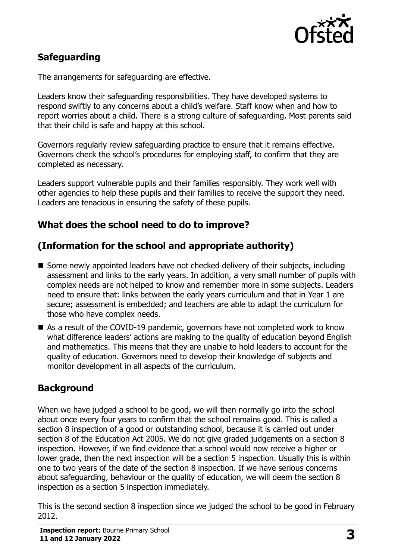

# **Safeguarding**

The arrangements for safeguarding are effective.

Leaders know their safeguarding responsibilities. They have developed systems to respond swiftly to any concerns about a child's welfare. Staff know when and how to report worries about a child. There is a strong culture of safeguarding. Most parents said that their child is safe and happy at this school.

Governors regularly review safeguarding practice to ensure that it remains effective. Governors check the school's procedures for employing staff, to confirm that they are completed as necessary.

Leaders support vulnerable pupils and their families responsibly. They work well with other agencies to help these pupils and their families to receive the support they need. Leaders are tenacious in ensuring the safety of these pupils.

# **What does the school need to do to improve?**

# **(Information for the school and appropriate authority)**

- Some newly appointed leaders have not checked delivery of their subjects, including assessment and links to the early years. In addition, a very small number of pupils with complex needs are not helped to know and remember more in some subjects. Leaders need to ensure that: links between the early years curriculum and that in Year 1 are secure; assessment is embedded; and teachers are able to adapt the curriculum for those who have complex needs.
- As a result of the COVID-19 pandemic, governors have not completed work to know what difference leaders' actions are making to the quality of education beyond English and mathematics. This means that they are unable to hold leaders to account for the quality of education. Governors need to develop their knowledge of subjects and monitor development in all aspects of the curriculum.

# **Background**

When we have judged a school to be good, we will then normally go into the school about once every four years to confirm that the school remains good. This is called a section 8 inspection of a good or outstanding school, because it is carried out under section 8 of the Education Act 2005. We do not give graded judgements on a section 8 inspection. However, if we find evidence that a school would now receive a higher or lower grade, then the next inspection will be a section 5 inspection. Usually this is within one to two years of the date of the section 8 inspection. If we have serious concerns about safeguarding, behaviour or the quality of education, we will deem the section 8 inspection as a section 5 inspection immediately.

This is the second section 8 inspection since we judged the school to be good in February 2012.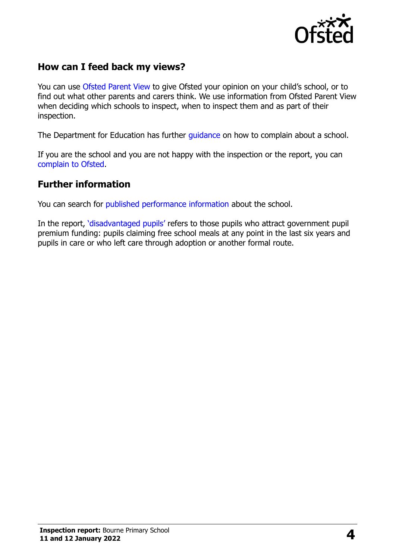

# **How can I feed back my views?**

You can use [Ofsted Parent View](https://parentview.ofsted.gov.uk/) to give Ofsted your opinion on your child's school, or to find out what other parents and carers think. We use information from Ofsted Parent View when deciding which schools to inspect, when to inspect them and as part of their inspection.

The Department for Education has further quidance on how to complain about a school.

If you are the school and you are not happy with the inspection or the report, you can [complain to Ofsted.](https://www.gov.uk/complain-ofsted-report)

#### **Further information**

You can search for [published performance information](http://www.compare-school-performance.service.gov.uk/) about the school.

In the report, '[disadvantaged pupils](http://www.gov.uk/guidance/pupil-premium-information-for-schools-and-alternative-provision-settings)' refers to those pupils who attract government pupil premium funding: pupils claiming free school meals at any point in the last six years and pupils in care or who left care through adoption or another formal route.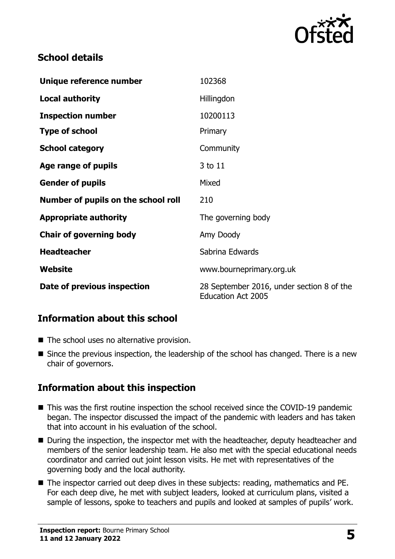

#### **School details**

| Unique reference number             | 102368                                                                 |
|-------------------------------------|------------------------------------------------------------------------|
| <b>Local authority</b>              | Hillingdon                                                             |
| <b>Inspection number</b>            | 10200113                                                               |
| <b>Type of school</b>               | Primary                                                                |
| <b>School category</b>              | Community                                                              |
| Age range of pupils                 | 3 to 11                                                                |
| <b>Gender of pupils</b>             | Mixed                                                                  |
| Number of pupils on the school roll | 210                                                                    |
| <b>Appropriate authority</b>        | The governing body                                                     |
| <b>Chair of governing body</b>      | Amy Doody                                                              |
| <b>Headteacher</b>                  | Sabrina Edwards                                                        |
| Website                             | www.bourneprimary.org.uk                                               |
| Date of previous inspection         | 28 September 2016, under section 8 of the<br><b>Education Act 2005</b> |

# **Information about this school**

- The school uses no alternative provision.
- Since the previous inspection, the leadership of the school has changed. There is a new chair of governors.

# **Information about this inspection**

- This was the first routine inspection the school received since the COVID-19 pandemic began. The inspector discussed the impact of the pandemic with leaders and has taken that into account in his evaluation of the school.
- During the inspection, the inspector met with the headteacher, deputy headteacher and members of the senior leadership team. He also met with the special educational needs coordinator and carried out joint lesson visits. He met with representatives of the governing body and the local authority.
- The inspector carried out deep dives in these subjects: reading, mathematics and PE. For each deep dive, he met with subject leaders, looked at curriculum plans, visited a sample of lessons, spoke to teachers and pupils and looked at samples of pupils' work.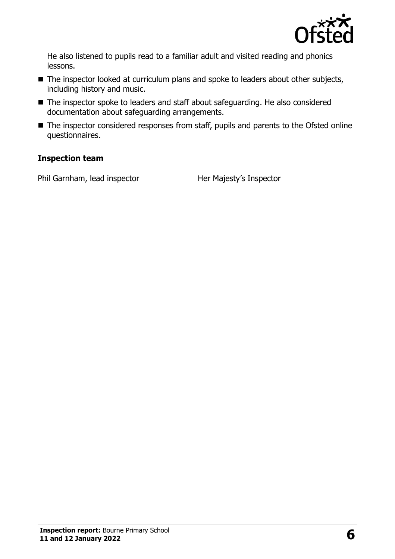

He also listened to pupils read to a familiar adult and visited reading and phonics lessons.

- The inspector looked at curriculum plans and spoke to leaders about other subjects, including history and music.
- The inspector spoke to leaders and staff about safeguarding. He also considered documentation about safeguarding arrangements.
- The inspector considered responses from staff, pupils and parents to the Ofsted online questionnaires.

#### **Inspection team**

Phil Garnham, lead inspector Her Majesty's Inspector